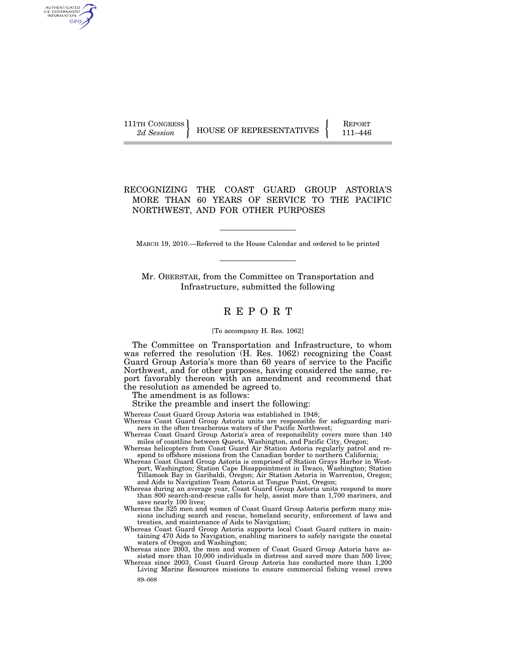| 111TH CONGRESS I | <b>HOUSE OF REPRESENTATIVES</b> | <b>REPORT</b> |
|------------------|---------------------------------|---------------|
| 2d Session       |                                 | 111–446       |

## RECOGNIZING THE COAST GUARD GROUP ASTORIA'S MORE THAN 60 YEARS OF SERVICE TO THE PACIFIC NORTHWEST, AND FOR OTHER PURPOSES

MARCH 19, 2010.—Referred to the House Calendar and ordered to be printed

Mr. OBERSTAR, from the Committee on Transportation and Infrastructure, submitted the following

# R E P O R T

#### [To accompany H. Res. 1062]

The Committee on Transportation and Infrastructure, to whom was referred the resolution (H. Res. 1062) recognizing the Coast Guard Group Astoria's more than 60 years of service to the Pacific Northwest, and for other purposes, having considered the same, report favorably thereon with an amendment and recommend that the resolution as amended be agreed to.

The amendment is as follows:

AUTHENTICATED<br>U.S. GOVERNMENT<br>INFORMATION GPO

Strike the preamble and insert the following:

- Whereas Coast Guard Group Astoria was established in 1948;
- Whereas Coast Guard Group Astoria units are responsible for safeguarding mariners in the often treacherous waters of the Pacific Northwest;
- Whereas Coast Guard Group Astoria's area of responsibility covers more than 140 miles of coastline between Queets, Washington, and Pacific City, Oregon;
- Whereas helicopters from Coast Guard Air Station Astoria regularly patrol and respond to offshore missions from the Canadian border to northern California;
- Whereas Coast Guard Group Astoria is comprised of Station Grays Harbor in Westport, Washington; Station Cape Disappointment in Ilwaco, Washington; Station Tillamook Bay in Garibaldi, Oregon; Air Station Astoria in Warrenton, Oregon; and Aids to Navigation Team Astoria at Tongue Point, Oregon;
- Whereas during an average year, Coast Guard Group Astoria units respond to more than 800 search-and-rescue calls for help, assist more than 1,700 mariners, and save nearly 100 lives;
- Whereas the 325 men and women of Coast Guard Group Astoria perform many missions including search and rescue, homeland security, enforcement of laws and treaties, and maintenance of Aids to Navigation;
- Whereas Coast Guard Group Astoria supports local Coast Guard cutters in maintaining 470 Aids to Navigation, enabling mariners to safely navigate the coastal waters of Oregon and Washington;
- Whereas since 2003, the men and women of Coast Guard Group Astoria have assisted more than 10,000 individuals in distress and saved more than 500 lives; Whereas since 2003, Coast Guard Group Astoria has conducted more than 1,200
- 89–008 Living Marine Resources missions to ensure commercial fishing vessel crews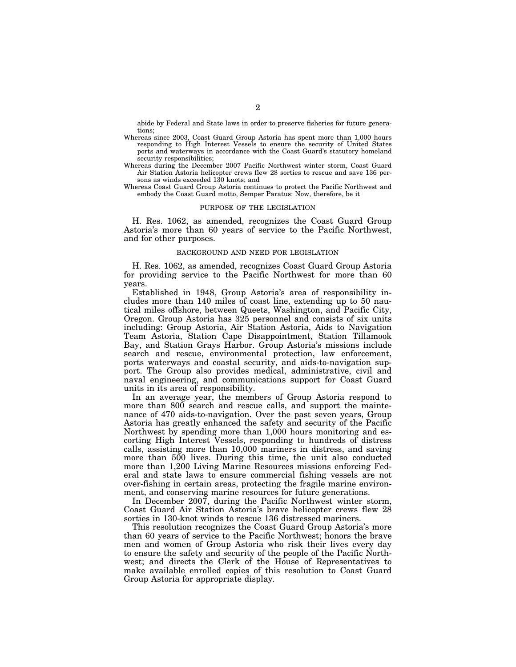abide by Federal and State laws in order to preserve fisheries for future generations;

- Whereas since 2003, Coast Guard Group Astoria has spent more than 1,000 hours responding to High Interest Vessels to ensure the security of United States ports and waterways in accordance with the Coast Guard's statutory homeland security responsibilities;
- Whereas during the December 2007 Pacific Northwest winter storm, Coast Guard Air Station Astoria helicopter crews flew 28 sorties to rescue and save 136 persons as winds exceeded 130 knots; and
- Whereas Coast Guard Group Astoria continues to protect the Pacific Northwest and embody the Coast Guard motto, Semper Paratus: Now, therefore, be it

## PURPOSE OF THE LEGISLATION

H. Res. 1062, as amended, recognizes the Coast Guard Group Astoria's more than 60 years of service to the Pacific Northwest, and for other purposes.

#### BACKGROUND AND NEED FOR LEGISLATION

H. Res. 1062, as amended, recognizes Coast Guard Group Astoria for providing service to the Pacific Northwest for more than 60 years.

Established in 1948, Group Astoria's area of responsibility includes more than 140 miles of coast line, extending up to 50 nautical miles offshore, between Queets, Washington, and Pacific City, Oregon. Group Astoria has 325 personnel and consists of six units including: Group Astoria, Air Station Astoria, Aids to Navigation Team Astoria, Station Cape Disappointment, Station Tillamook Bay, and Station Grays Harbor. Group Astoria's missions include search and rescue, environmental protection, law enforcement, ports waterways and coastal security, and aids-to-navigation support. The Group also provides medical, administrative, civil and naval engineering, and communications support for Coast Guard units in its area of responsibility.

In an average year, the members of Group Astoria respond to more than 800 search and rescue calls, and support the maintenance of 470 aids-to-navigation. Over the past seven years, Group Astoria has greatly enhanced the safety and security of the Pacific Northwest by spending more than 1,000 hours monitoring and escorting High Interest Vessels, responding to hundreds of distress calls, assisting more than 10,000 mariners in distress, and saving more than 500 lives. During this time, the unit also conducted more than 1,200 Living Marine Resources missions enforcing Federal and state laws to ensure commercial fishing vessels are not over-fishing in certain areas, protecting the fragile marine environment, and conserving marine resources for future generations.

In December 2007, during the Pacific Northwest winter storm, Coast Guard Air Station Astoria's brave helicopter crews flew 28 sorties in 130-knot winds to rescue 136 distressed mariners.

This resolution recognizes the Coast Guard Group Astoria's more than 60 years of service to the Pacific Northwest; honors the brave men and women of Group Astoria who risk their lives every day to ensure the safety and security of the people of the Pacific Northwest; and directs the Clerk of the House of Representatives to make available enrolled copies of this resolution to Coast Guard Group Astoria for appropriate display.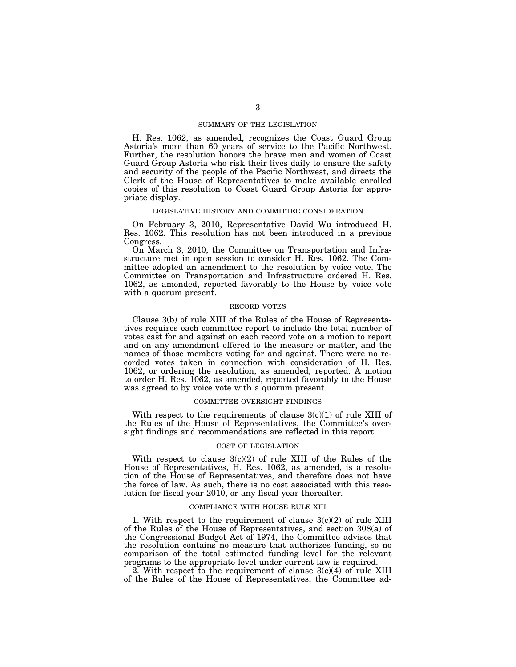## SUMMARY OF THE LEGISLATION

H. Res. 1062, as amended, recognizes the Coast Guard Group Astoria's more than 60 years of service to the Pacific Northwest. Further, the resolution honors the brave men and women of Coast Guard Group Astoria who risk their lives daily to ensure the safety and security of the people of the Pacific Northwest, and directs the Clerk of the House of Representatives to make available enrolled copies of this resolution to Coast Guard Group Astoria for appropriate display.

## LEGISLATIVE HISTORY AND COMMITTEE CONSIDERATION

On February 3, 2010, Representative David Wu introduced H. Res. 1062. This resolution has not been introduced in a previous Congress.

On March 3, 2010, the Committee on Transportation and Infrastructure met in open session to consider H. Res. 1062. The Committee adopted an amendment to the resolution by voice vote. The Committee on Transportation and Infrastructure ordered H. Res. 1062, as amended, reported favorably to the House by voice vote with a quorum present.

#### RECORD VOTES

Clause 3(b) of rule XIII of the Rules of the House of Representatives requires each committee report to include the total number of votes cast for and against on each record vote on a motion to report and on any amendment offered to the measure or matter, and the names of those members voting for and against. There were no recorded votes taken in connection with consideration of H. Res. 1062, or ordering the resolution, as amended, reported. A motion to order H. Res. 1062, as amended, reported favorably to the House was agreed to by voice vote with a quorum present.

## COMMITTEE OVERSIGHT FINDINGS

With respect to the requirements of clause  $3(c)(1)$  of rule XIII of the Rules of the House of Representatives, the Committee's oversight findings and recommendations are reflected in this report.

#### COST OF LEGISLATION

With respect to clause  $3(c)(2)$  of rule XIII of the Rules of the House of Representatives, H. Res. 1062, as amended, is a resolution of the House of Representatives, and therefore does not have the force of law. As such, there is no cost associated with this resolution for fiscal year 2010, or any fiscal year thereafter.

#### COMPLIANCE WITH HOUSE RULE XIII

1. With respect to the requirement of clause  $3(c)(2)$  of rule XIII of the Rules of the House of Representatives, and section 308(a) of the Congressional Budget Act of 1974, the Committee advises that the resolution contains no measure that authorizes funding, so no comparison of the total estimated funding level for the relevant programs to the appropriate level under current law is required.

2. With respect to the requirement of clause  $3(c)(4)$  of rule XIII of the Rules of the House of Representatives, the Committee ad